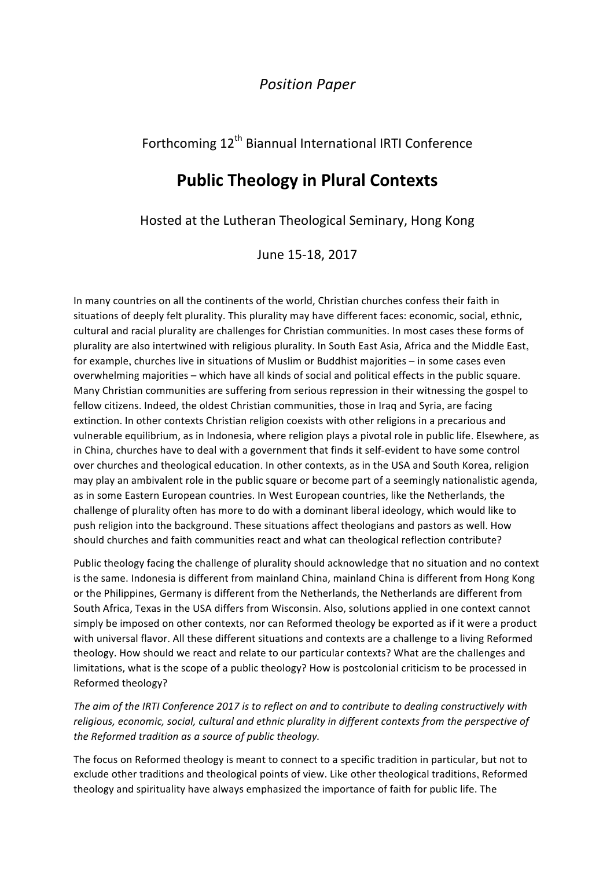## *Position Paper*

## Forthcoming 12<sup>th</sup> Biannual International IRTI Conference

# **Public Theology in Plural Contexts**

Hosted at the Lutheran Theological Seminary, Hong Kong

June 15-18, 2017

In many countries on all the continents of the world, Christian churches confess their faith in situations of deeply felt plurality. This plurality may have different faces: economic, social, ethnic, cultural and racial plurality are challenges for Christian communities. In most cases these forms of plurality are also intertwined with religious plurality. In South East Asia, Africa and the Middle East, for example, churches live in situations of Muslim or Buddhist majorities - in some cases even overwhelming majorities – which have all kinds of social and political effects in the public square. Many Christian communities are suffering from serious repression in their witnessing the gospel to fellow citizens. Indeed, the oldest Christian communities, those in Iraq and Syria, are facing extinction. In other contexts Christian religion coexists with other religions in a precarious and vulnerable equilibrium, as in Indonesia, where religion plays a pivotal role in public life. Elsewhere, as in China, churches have to deal with a government that finds it self-evident to have some control over churches and theological education. In other contexts, as in the USA and South Korea, religion may play an ambivalent role in the public square or become part of a seemingly nationalistic agenda, as in some Eastern European countries. In West European countries, like the Netherlands, the challenge of plurality often has more to do with a dominant liberal ideology, which would like to push religion into the background. These situations affect theologians and pastors as well. How should churches and faith communities react and what can theological reflection contribute?

Public theology facing the challenge of plurality should acknowledge that no situation and no context is the same. Indonesia is different from mainland China, mainland China is different from Hong Kong or the Philippines, Germany is different from the Netherlands, the Netherlands are different from South Africa, Texas in the USA differs from Wisconsin. Also, solutions applied in one context cannot simply be imposed on other contexts, nor can Reformed theology be exported as if it were a product with universal flavor. All these different situations and contexts are a challenge to a living Reformed theology. How should we react and relate to our particular contexts? What are the challenges and limitations, what is the scope of a public theology? How is postcolonial criticism to be processed in Reformed theology?

The aim of the IRTI Conference 2017 is to reflect on and to contribute to dealing constructively with religious, economic, social, cultural and ethnic plurality in different contexts from the perspective of *the Reformed tradition as a source of public theology.* 

The focus on Reformed theology is meant to connect to a specific tradition in particular, but not to exclude other traditions and theological points of view. Like other theological traditions, Reformed theology and spirituality have always emphasized the importance of faith for public life. The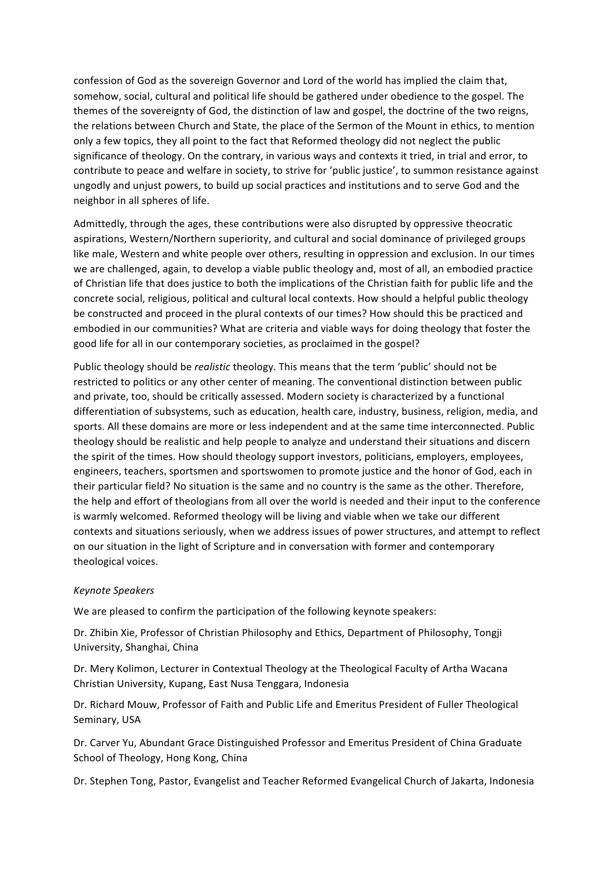confession of God as the sovereign Governor and Lord of the world has implied the claim that, somehow, social, cultural and political life should be gathered under obedience to the gospel. The themes of the sovereignty of God, the distinction of law and gospel, the doctrine of the two reigns, the relations between Church and State, the place of the Sermon of the Mount in ethics, to mention only a few topics, they all point to the fact that Reformed theology did not neglect the public significance of theology. On the contrary, in various ways and contexts it tried, in trial and error, to contribute to peace and welfare in society, to strive for 'public justice', to summon resistance against ungodly and unjust powers, to build up social practices and institutions and to serve God and the neighbor in all spheres of life.

Admittedly, through the ages, these contributions were also disrupted by oppressive theocratic aspirations, Western/Northern superiority, and cultural and social dominance of privileged groups like male, Western and white people over others, resulting in oppression and exclusion. In our times we are challenged, again, to develop a viable public theology and, most of all, an embodied practice of Christian life that does justice to both the implications of the Christian faith for public life and the concrete social, religious, political and cultural local contexts. How should a helpful public theology be constructed and proceed in the plural contexts of our times? How should this be practiced and embodied in our communities? What are criteria and viable ways for doing theology that foster the good life for all in our contemporary societies, as proclaimed in the gospel?

Public theology should be *realistic* theology. This means that the term 'public' should not be restricted to politics or any other center of meaning. The conventional distinction between public and private, too, should be critically assessed. Modern society is characterized by a functional differentiation of subsystems, such as education, health care, industry, business, religion, media, and sports. All these domains are more or less independent and at the same time interconnected. Public theology should be realistic and help people to analyze and understand their situations and discern the spirit of the times. How should theology support investors, politicians, employers, employees, engineers, teachers, sportsmen and sportswomen to promote justice and the honor of God, each in their particular field? No situation is the same and no country is the same as the other. Therefore, the help and effort of theologians from all over the world is needed and their input to the conference is warmly welcomed. Reformed theology will be living and viable when we take our different contexts and situations seriously, when we address issues of power structures, and attempt to reflect on our situation in the light of Scripture and in conversation with former and contemporary theological voices.

#### *Keynote Speakers*

We are pleased to confirm the participation of the following keynote speakers:

Dr. Zhibin Xie, Professor of Christian Philosophy and Ethics, Department of Philosophy, Tongji University, Shanghai, China

Dr. Mery Kolimon, Lecturer in Contextual Theology at the Theological Faculty of Artha Wacana Christian University, Kupang, East Nusa Tenggara, Indonesia

Dr. Richard Mouw, Professor of Faith and Public Life and Emeritus President of Fuller Theological Seminary, USA

Dr. Carver Yu, Abundant Grace Distinguished Professor and Emeritus President of China Graduate School of Theology, Hong Kong, China

Dr. Stephen Tong, Pastor, Evangelist and Teacher Reformed Evangelical Church of Jakarta, Indonesia